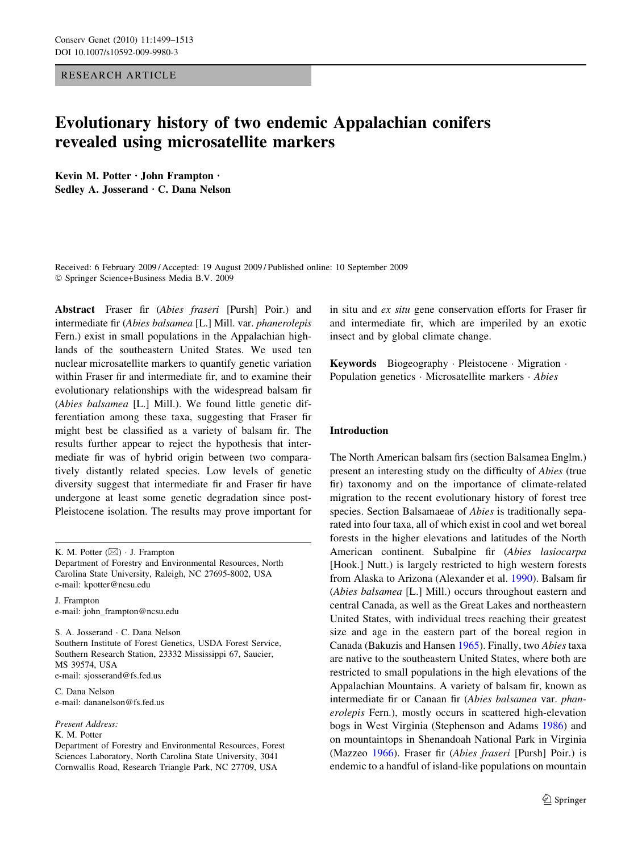## RESEARCH ARTICLE

# Evolutionary history of two endemic Appalachian conifers revealed using microsatellite markers

Kevin M. Potter  $\cdot$  John Frampton  $\cdot$ Sedley A. Josserand · C. Dana Nelson

Received: 6 February 2009 / Accepted: 19 August 2009 / Published online: 10 September 2009 - Springer Science+Business Media B.V. 2009

Abstract Fraser fir (Abies fraseri [Pursh] Poir.) and intermediate fir (Abies balsamea [L.] Mill. var. phanerolepis Fern.) exist in small populations in the Appalachian highlands of the southeastern United States. We used ten nuclear microsatellite markers to quantify genetic variation within Fraser fir and intermediate fir, and to examine their evolutionary relationships with the widespread balsam fir (Abies balsamea [L.] Mill.). We found little genetic differentiation among these taxa, suggesting that Fraser fir might best be classified as a variety of balsam fir. The results further appear to reject the hypothesis that intermediate fir was of hybrid origin between two comparatively distantly related species. Low levels of genetic diversity suggest that intermediate fir and Fraser fir have undergone at least some genetic degradation since post-Pleistocene isolation. The results may prove important for

K. M. Potter  $(\boxtimes) \cdot$  J. Frampton

Department of Forestry and Environmental Resources, North Carolina State University, Raleigh, NC 27695-8002, USA e-mail: kpotter@ncsu.edu

J. Frampton e-mail: john\_frampton@ncsu.edu

S. A. Josserand - C. Dana Nelson Southern Institute of Forest Genetics, USDA Forest Service, Southern Research Station, 23332 Mississippi 67, Saucier, MS 39574, USA e-mail: sjosserand@fs.fed.us

C. Dana Nelson e-mail: dananelson@fs.fed.us

Present Address:

K. M. Potter

Department of Forestry and Environmental Resources, Forest Sciences Laboratory, North Carolina State University, 3041 Cornwallis Road, Research Triangle Park, NC 27709, USA

in situ and ex situ gene conservation efforts for Fraser fir and intermediate fir, which are imperiled by an exotic insect and by global climate change.

Keywords Biogeography · Pleistocene · Migration · Population genetics · Microsatellite markers · Abies

# Introduction

The North American balsam firs (section Balsamea Englm.) present an interesting study on the difficulty of Abies (true fir) taxonomy and on the importance of climate-related migration to the recent evolutionary history of forest tree species. Section Balsamaeae of Abies is traditionally separated into four taxa, all of which exist in cool and wet boreal forests in the higher elevations and latitudes of the North American continent. Subalpine fir (Abies lasiocarpa [Hook.] Nutt.) is largely restricted to high western forests from Alaska to Arizona (Alexander et al. [1990](#page-12-0)). Balsam fir (Abies balsamea [L.] Mill.) occurs throughout eastern and central Canada, as well as the Great Lakes and northeastern United States, with individual trees reaching their greatest size and age in the eastern part of the boreal region in Canada (Bakuzis and Hansen [1965\)](#page-12-0). Finally, two Abies taxa are native to the southeastern United States, where both are restricted to small populations in the high elevations of the Appalachian Mountains. A variety of balsam fir, known as intermediate fir or Canaan fir (Abies balsamea var. phanerolepis Fern.), mostly occurs in scattered high-elevation bogs in West Virginia (Stephenson and Adams [1986](#page-14-0)) and on mountaintops in Shenandoah National Park in Virginia (Mazzeo [1966](#page-13-0)). Fraser fir (Abies fraseri [Pursh] Poir.) is endemic to a handful of island-like populations on mountain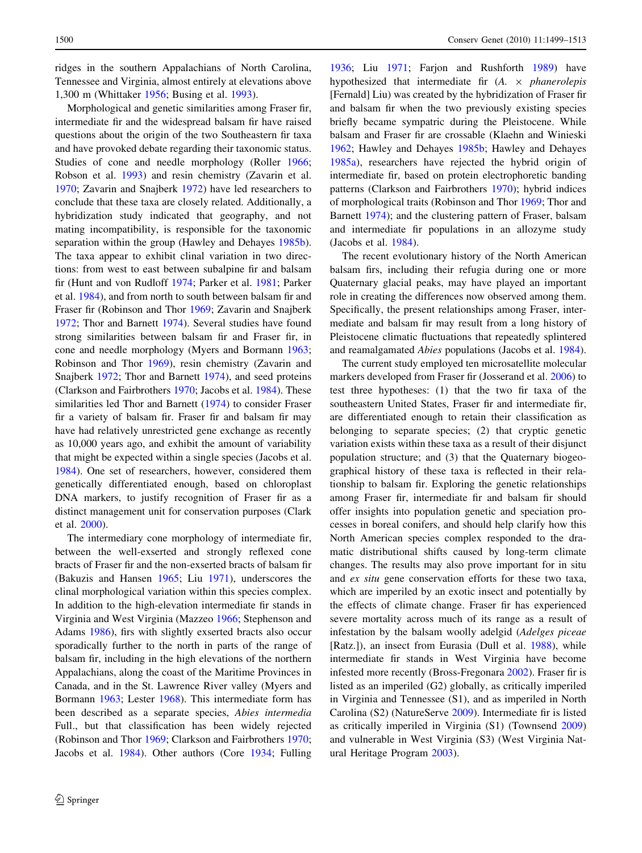ridges in the southern Appalachians of North Carolina, Tennessee and Virginia, almost entirely at elevations above 1,300 m (Whittaker [1956;](#page-14-0) Busing et al. [1993](#page-12-0)).

Morphological and genetic similarities among Fraser fir, intermediate fir and the widespread balsam fir have raised questions about the origin of the two Southeastern fir taxa and have provoked debate regarding their taxonomic status. Studies of cone and needle morphology (Roller [1966](#page-13-0); Robson et al. [1993\)](#page-13-0) and resin chemistry (Zavarin et al. [1970;](#page-14-0) Zavarin and Snajberk [1972](#page-14-0)) have led researchers to conclude that these taxa are closely related. Additionally, a hybridization study indicated that geography, and not mating incompatibility, is responsible for the taxonomic separation within the group (Hawley and Dehayes [1985b](#page-13-0)). The taxa appear to exhibit clinal variation in two directions: from west to east between subalpine fir and balsam fir (Hunt and von Rudloff [1974;](#page-13-0) Parker et al. [1981](#page-13-0); Parker et al. [1984\)](#page-13-0), and from north to south between balsam fir and Fraser fir (Robinson and Thor [1969;](#page-13-0) Zavarin and Snajberk [1972;](#page-14-0) Thor and Barnett [1974](#page-14-0)). Several studies have found strong similarities between balsam fir and Fraser fir, in cone and needle morphology (Myers and Bormann [1963](#page-13-0); Robinson and Thor [1969\)](#page-13-0), resin chemistry (Zavarin and Snajberk [1972;](#page-14-0) Thor and Barnett [1974](#page-14-0)), and seed proteins (Clarkson and Fairbrothers [1970;](#page-12-0) Jacobs et al. [1984](#page-13-0)). These similarities led Thor and Barnett [\(1974\)](#page-14-0) to consider Fraser fir a variety of balsam fir. Fraser fir and balsam fir may have had relatively unrestricted gene exchange as recently as 10,000 years ago, and exhibit the amount of variability that might be expected within a single species (Jacobs et al. [1984\)](#page-13-0). One set of researchers, however, considered them genetically differentiated enough, based on chloroplast DNA markers, to justify recognition of Fraser fir as a distinct management unit for conservation purposes (Clark et al. [2000\)](#page-12-0).

The intermediary cone morphology of intermediate fir, between the well-exserted and strongly reflexed cone bracts of Fraser fir and the non-exserted bracts of balsam fir (Bakuzis and Hansen [1965](#page-12-0); Liu [1971](#page-13-0)), underscores the clinal morphological variation within this species complex. In addition to the high-elevation intermediate fir stands in Virginia and West Virginia (Mazzeo [1966;](#page-13-0) Stephenson and Adams [1986\)](#page-14-0), firs with slightly exserted bracts also occur sporadically further to the north in parts of the range of balsam fir, including in the high elevations of the northern Appalachians, along the coast of the Maritime Provinces in Canada, and in the St. Lawrence River valley (Myers and Bormann [1963](#page-13-0); Lester [1968](#page-13-0)). This intermediate form has been described as a separate species, Abies intermedia Full., but that classification has been widely rejected (Robinson and Thor [1969](#page-13-0); Clarkson and Fairbrothers [1970](#page-12-0); Jacobs et al. [1984](#page-13-0)). Other authors (Core [1934](#page-12-0); Fulling

[1936](#page-13-0); Liu [1971;](#page-13-0) Farjon and Rushforth [1989](#page-13-0)) have hypothesized that intermediate fir  $(A. \times *phenerclepis*)$ [Fernald] Liu) was created by the hybridization of Fraser fir and balsam fir when the two previously existing species briefly became sympatric during the Pleistocene. While balsam and Fraser fir are crossable (Klaehn and Winieski [1962](#page-13-0); Hawley and Dehayes [1985b;](#page-13-0) Hawley and Dehayes [1985a\)](#page-13-0), researchers have rejected the hybrid origin of intermediate fir, based on protein electrophoretic banding patterns (Clarkson and Fairbrothers [1970\)](#page-12-0); hybrid indices of morphological traits (Robinson and Thor [1969;](#page-13-0) Thor and Barnett [1974\)](#page-14-0); and the clustering pattern of Fraser, balsam and intermediate fir populations in an allozyme study (Jacobs et al. [1984](#page-13-0)).

The recent evolutionary history of the North American balsam firs, including their refugia during one or more Quaternary glacial peaks, may have played an important role in creating the differences now observed among them. Specifically, the present relationships among Fraser, intermediate and balsam fir may result from a long history of Pleistocene climatic fluctuations that repeatedly splintered and reamalgamated Abies populations (Jacobs et al. [1984](#page-13-0)).

The current study employed ten microsatellite molecular markers developed from Fraser fir (Josserand et al. [2006\)](#page-13-0) to test three hypotheses: (1) that the two fir taxa of the southeastern United States, Fraser fir and intermediate fir, are differentiated enough to retain their classification as belonging to separate species; (2) that cryptic genetic variation exists within these taxa as a result of their disjunct population structure; and (3) that the Quaternary biogeographical history of these taxa is reflected in their relationship to balsam fir. Exploring the genetic relationships among Fraser fir, intermediate fir and balsam fir should offer insights into population genetic and speciation processes in boreal conifers, and should help clarify how this North American species complex responded to the dramatic distributional shifts caused by long-term climate changes. The results may also prove important for in situ and ex situ gene conservation efforts for these two taxa, which are imperiled by an exotic insect and potentially by the effects of climate change. Fraser fir has experienced severe mortality across much of its range as a result of infestation by the balsam woolly adelgid (Adelges piceae [Ratz.]), an insect from Eurasia (Dull et al. [1988](#page-13-0)), while intermediate fir stands in West Virginia have become infested more recently (Bross-Fregonara [2002\)](#page-12-0). Fraser fir is listed as an imperiled (G2) globally, as critically imperiled in Virginia and Tennessee (S1), and as imperiled in North Carolina (S2) (NatureServe [2009](#page-13-0)). Intermediate fir is listed as critically imperiled in Virginia (S1) (Townsend [2009\)](#page-14-0) and vulnerable in West Virginia (S3) (West Virginia Natural Heritage Program [2003\)](#page-14-0).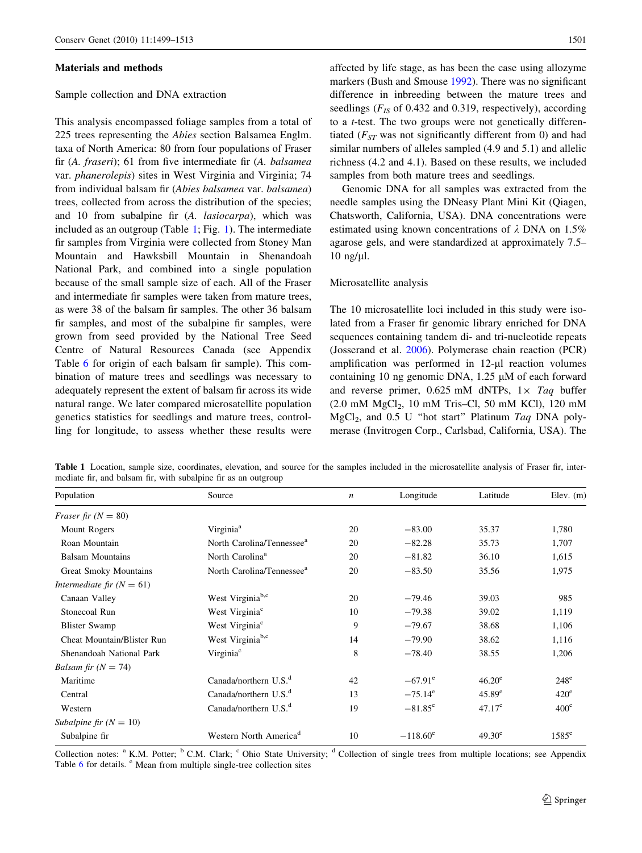## <span id="page-2-0"></span>Materials and methods

## Sample collection and DNA extraction

This analysis encompassed foliage samples from a total of 225 trees representing the Abies section Balsamea Englm. taxa of North America: 80 from four populations of Fraser fir (A. fraseri); 61 from five intermediate fir (A. balsamea var. phanerolepis) sites in West Virginia and Virginia; 74 from individual balsam fir (Abies balsamea var. balsamea) trees, collected from across the distribution of the species; and 10 from subalpine fir (A. lasiocarpa), which was included as an outgroup (Table 1; Fig. [1\)](#page-3-0). The intermediate fir samples from Virginia were collected from Stoney Man Mountain and Hawksbill Mountain in Shenandoah National Park, and combined into a single population because of the small sample size of each. All of the Fraser and intermediate fir samples were taken from mature trees, as were 38 of the balsam fir samples. The other 36 balsam fir samples, and most of the subalpine fir samples, were grown from seed provided by the National Tree Seed Centre of Natural Resources Canada (see Appendix Table [6](#page-10-0) for origin of each balsam fir sample). This combination of mature trees and seedlings was necessary to adequately represent the extent of balsam fir across its wide natural range. We later compared microsatellite population genetics statistics for seedlings and mature trees, controlling for longitude, to assess whether these results were affected by life stage, as has been the case using allozyme markers (Bush and Smouse [1992](#page-12-0)). There was no significant difference in inbreeding between the mature trees and seedlings ( $F_{IS}$  of 0.432 and 0.319, respectively), according to a t-test. The two groups were not genetically differentiated ( $F_{ST}$  was not significantly different from 0) and had similar numbers of alleles sampled (4.9 and 5.1) and allelic richness (4.2 and 4.1). Based on these results, we included samples from both mature trees and seedlings.

Genomic DNA for all samples was extracted from the needle samples using the DNeasy Plant Mini Kit (Qiagen, Chatsworth, California, USA). DNA concentrations were estimated using known concentrations of  $\lambda$  DNA on 1.5% agarose gels, and were standardized at approximately 7.5–  $10$  ng/ $\mu$ l.

### Microsatellite analysis

The 10 microsatellite loci included in this study were isolated from a Fraser fir genomic library enriched for DNA sequences containing tandem di- and tri-nucleotide repeats (Josserand et al. [2006\)](#page-13-0). Polymerase chain reaction (PCR) amplification was performed in 12-µl reaction volumes containing 10 ng genomic DNA,  $1.25 \mu M$  of each forward and reverse primer, 0.625 mM dNTPs,  $1 \times Tag$  buffer (2.0 mM MgCl<sub>2</sub>, 10 mM Tris-Cl, 50 mM KCl), 120 mM MgCl<sub>2</sub>, and 0.5 U "hot start" Platinum Taq DNA polymerase (Invitrogen Corp., Carlsbad, California, USA). The

|  |  |                                                                |  |  |  | Table 1 Location, sample size, coordinates, elevation, and source for the samples included in the microsatellite analysis of Fraser fir, inter- |  |  |
|--|--|----------------------------------------------------------------|--|--|--|-------------------------------------------------------------------------------------------------------------------------------------------------|--|--|
|  |  | mediate fir, and balsam fir, with subalpine fir as an outgroup |  |  |  |                                                                                                                                                 |  |  |

| Population                   | Source                                | $\boldsymbol{n}$ | Longitude         | Latitude        | Elev. $(m)$      |
|------------------------------|---------------------------------------|------------------|-------------------|-----------------|------------------|
| <i>Fraser fir</i> $(N = 80)$ |                                       |                  |                   |                 |                  |
| Mount Rogers                 | Virginia <sup>a</sup>                 | 20               | $-83.00$          | 35.37           | 1,780            |
| Roan Mountain                | North Carolina/Tennessee <sup>a</sup> | 20               | $-82.28$          | 35.73           | 1,707            |
| <b>Balsam Mountains</b>      | North Carolina <sup>a</sup>           | 20               | $-81.82$          | 36.10           | 1,615            |
| Great Smoky Mountains        | North Carolina/Tennessee <sup>a</sup> | 20               | $-83.50$          | 35.56           | 1,975            |
| Intermediate fir $(N = 61)$  |                                       |                  |                   |                 |                  |
| Canaan Valley                | West Virginia <sup>b,c</sup>          | 20               | $-79.46$          | 39.03           | 985              |
| Stonecoal Run                | West Virginia <sup>c</sup>            | 10               | $-79.38$          | 39.02           | 1,119            |
| <b>Blister Swamp</b>         | West Virginia <sup>c</sup>            | 9                | $-79.67$          | 38.68           | 1,106            |
| Cheat Mountain/Blister Run   | West Virginia <sup>b,c</sup>          | 14               | $-79.90$          | 38.62           | 1,116            |
| Shenandoah National Park     | Virginia <sup>c</sup>                 | 8                | $-78.40$          | 38.55           | 1,206            |
| Balsam fir $(N = 74)$        |                                       |                  |                   |                 |                  |
| Maritime                     | Canada/northern U.S. <sup>d</sup>     | 42               | $-67.91^{\circ}$  | $46.20^{\circ}$ | $248^{\circ}$    |
| Central                      | Canada/northern U.S. <sup>d</sup>     | 13               | $-75.14^{\circ}$  | $45.89^e$       | $420^{\circ}$    |
| Western                      | Canada/northern U.S. <sup>d</sup>     | 19               | $-81.85^{\circ}$  | $47.17^e$       | 400 <sup>e</sup> |
| Subalpine fir $(N = 10)$     |                                       |                  |                   |                 |                  |
| Subalpine fir                | Western North America <sup>d</sup>    | 10               | $-118.60^{\circ}$ | $49.30^e$       | $1585^{\circ}$   |

Collection notes: <sup>a</sup> K.M. Potter; <sup>b</sup> C.M. Clark; <sup>c</sup> Ohio State University; <sup>d</sup> Collection of single trees from multiple locations; see Appendix Table [6](#page-10-0) for details. <sup>e</sup> Mean from multiple single-tree collection sites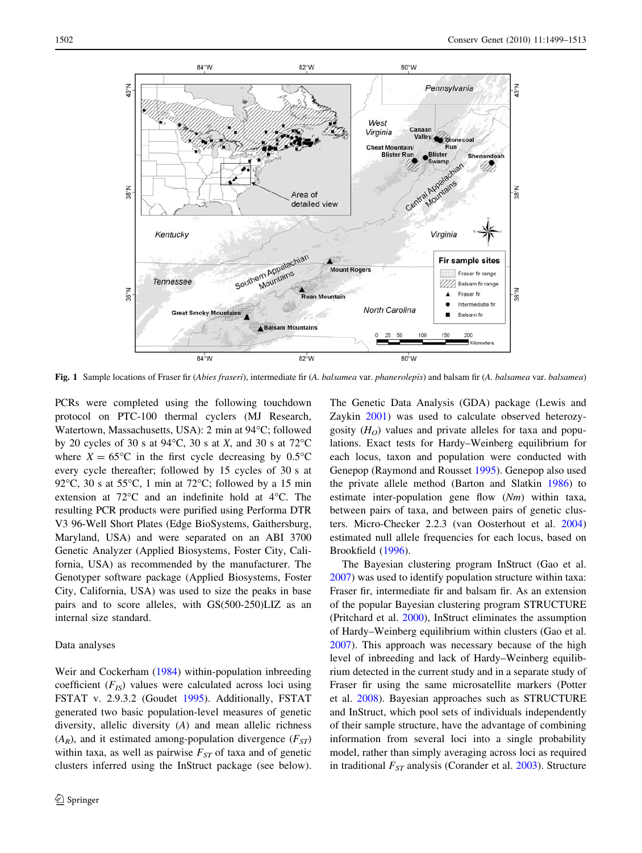<span id="page-3-0"></span>

Fig. 1 Sample locations of Fraser fir (Abies fraseri), intermediate fir (A. balsamea var. phanerolepis) and balsam fir (A. balsamea var. balsamea)

PCRs were completed using the following touchdown protocol on PTC-100 thermal cyclers (MJ Research, Watertown, Massachusetts, USA): 2 min at 94°C; followed by 20 cycles of 30 s at 94 $\degree$ C, 30 s at X, and 30 s at 72 $\degree$ C where  $X = 65^{\circ}\text{C}$  in the first cycle decreasing by 0.5 $^{\circ}\text{C}$ every cycle thereafter; followed by 15 cycles of 30 s at 92 $\degree$ C, 30 s at 55 $\degree$ C, 1 min at 72 $\degree$ C; followed by a 15 min extension at  $72^{\circ}$ C and an indefinite hold at  $4^{\circ}$ C. The resulting PCR products were purified using Performa DTR V3 96-Well Short Plates (Edge BioSystems, Gaithersburg, Maryland, USA) and were separated on an ABI 3700 Genetic Analyzer (Applied Biosystems, Foster City, California, USA) as recommended by the manufacturer. The Genotyper software package (Applied Biosystems, Foster City, California, USA) was used to size the peaks in base pairs and to score alleles, with GS(500-250)LIZ as an internal size standard.

## Data analyses

Weir and Cockerham ([1984\)](#page-14-0) within-population inbreeding coefficient  $(F_{IS})$  values were calculated across loci using FSTAT v. 2.9.3.2 (Goudet [1995\)](#page-13-0). Additionally, FSTAT generated two basic population-level measures of genetic diversity, allelic diversity (A) and mean allelic richness  $(A_R)$ , and it estimated among-population divergence  $(F_{ST})$ within taxa, as well as pairwise  $F_{ST}$  of taxa and of genetic clusters inferred using the InStruct package (see below).

The Genetic Data Analysis (GDA) package (Lewis and Zaykin [2001](#page-13-0)) was used to calculate observed heterozygosity  $(H<sub>O</sub>)$  values and private alleles for taxa and populations. Exact tests for Hardy–Weinberg equilibrium for each locus, taxon and population were conducted with Genepop (Raymond and Rousset [1995](#page-13-0)). Genepop also used the private allele method (Barton and Slatkin [1986\)](#page-12-0) to estimate inter-population gene flow  $(Nm)$  within taxa. between pairs of taxa, and between pairs of genetic clusters. Micro-Checker 2.2.3 (van Oosterhout et al. [2004\)](#page-14-0) estimated null allele frequencies for each locus, based on Brookfield ([1996](#page-12-0)).

The Bayesian clustering program InStruct (Gao et al. [2007](#page-13-0)) was used to identify population structure within taxa: Fraser fir, intermediate fir and balsam fir. As an extension of the popular Bayesian clustering program STRUCTURE (Pritchard et al. [2000](#page-13-0)), InStruct eliminates the assumption of Hardy–Weinberg equilibrium within clusters (Gao et al. [2007](#page-13-0)). This approach was necessary because of the high level of inbreeding and lack of Hardy–Weinberg equilibrium detected in the current study and in a separate study of Fraser fir using the same microsatellite markers (Potter et al. [2008](#page-13-0)). Bayesian approaches such as STRUCTURE and InStruct, which pool sets of individuals independently of their sample structure, have the advantage of combining information from several loci into a single probability model, rather than simply averaging across loci as required in traditional  $F_{ST}$  analysis (Corander et al. [2003\)](#page-12-0). Structure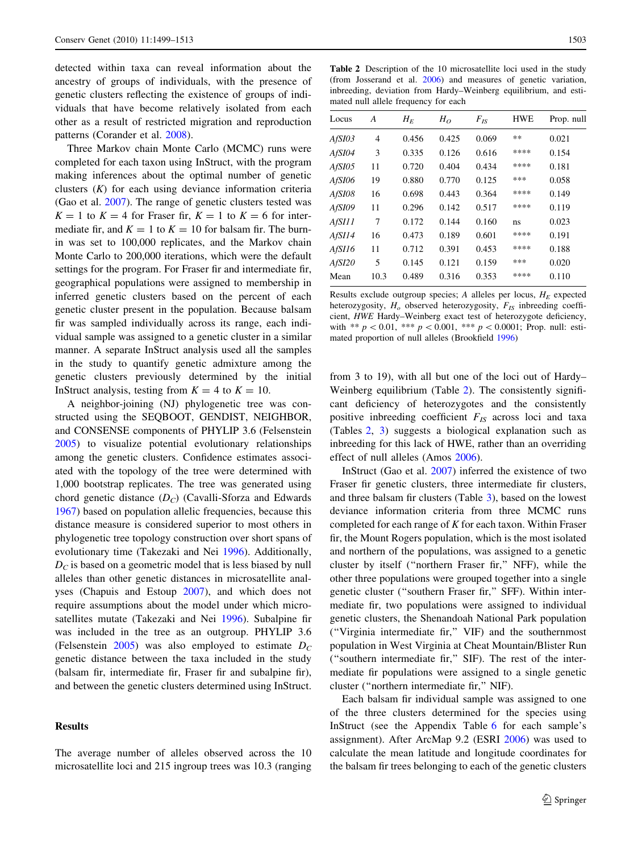detected within taxa can reveal information about the ancestry of groups of individuals, with the presence of genetic clusters reflecting the existence of groups of individuals that have become relatively isolated from each other as a result of restricted migration and reproduction patterns (Corander et al. [2008\)](#page-12-0).

Three Markov chain Monte Carlo (MCMC) runs were completed for each taxon using InStruct, with the program making inferences about the optimal number of genetic clusters  $(K)$  for each using deviance information criteria (Gao et al. [2007](#page-13-0)). The range of genetic clusters tested was  $K = 1$  to  $K = 4$  for Fraser fir,  $K = 1$  to  $K = 6$  for intermediate fir, and  $K = 1$  to  $K = 10$  for balsam fir. The burnin was set to 100,000 replicates, and the Markov chain Monte Carlo to 200,000 iterations, which were the default settings for the program. For Fraser fir and intermediate fir, geographical populations were assigned to membership in inferred genetic clusters based on the percent of each genetic cluster present in the population. Because balsam fir was sampled individually across its range, each individual sample was assigned to a genetic cluster in a similar manner. A separate InStruct analysis used all the samples in the study to quantify genetic admixture among the genetic clusters previously determined by the initial InStruct analysis, testing from  $K = 4$  to  $K = 10$ .

A neighbor-joining (NJ) phylogenetic tree was constructed using the SEQBOOT, GENDIST, NEIGHBOR, and CONSENSE components of PHYLIP 3.6 (Felsenstein [2005](#page-13-0)) to visualize potential evolutionary relationships among the genetic clusters. Confidence estimates associated with the topology of the tree were determined with 1,000 bootstrap replicates. The tree was generated using chord genetic distance  $(D_C)$  (Cavalli-Sforza and Edwards [1967\)](#page-12-0) based on population allelic frequencies, because this distance measure is considered superior to most others in phylogenetic tree topology construction over short spans of evolutionary time (Takezaki and Nei [1996\)](#page-14-0). Additionally,  $D<sub>C</sub>$  is based on a geometric model that is less biased by null alleles than other genetic distances in microsatellite analyses (Chapuis and Estoup [2007\)](#page-12-0), and which does not require assumptions about the model under which microsatellites mutate (Takezaki and Nei [1996](#page-14-0)). Subalpine fir was included in the tree as an outgroup. PHYLIP 3.6 (Felsenstein  $2005$ ) was also employed to estimate  $D<sub>C</sub>$ genetic distance between the taxa included in the study (balsam fir, intermediate fir, Fraser fir and subalpine fir), and between the genetic clusters determined using InStruct.

# **Results**

The average number of alleles observed across the 10 microsatellite loci and 215 ingroup trees was 10.3 (ranging

Table 2 Description of the 10 microsatellite loci used in the study (from Josserand et al. [2006](#page-13-0)) and measures of genetic variation, inbreeding, deviation from Hardy–Weinberg equilibrium, and estimated null allele frequency for each

| Locus  | A    | $H_F$ | H <sub>O</sub> | $F_{I\text{S}}$ | <b>HWE</b> | Prop. null |
|--------|------|-------|----------------|-----------------|------------|------------|
| AfSI03 | 4    | 0.456 | 0.425          | 0.069           | **         | 0.021      |
| AfSI04 | 3    | 0.335 | 0.126          | 0.616           | ****       | 0.154      |
| AfSI05 | 11   | 0.720 | 0.404          | 0.434           | ****       | 0.181      |
| AfSI06 | 19   | 0.880 | 0.770          | 0.125           | ***        | 0.058      |
| AfSI08 | 16   | 0.698 | 0.443          | 0.364           | ****       | 0.149      |
| AfSI09 | 11   | 0.296 | 0.142          | 0.517           | ****       | 0.119      |
| AfSI11 | 7    | 0.172 | 0.144          | 0.160           | ns         | 0.023      |
| AfSI14 | 16   | 0.473 | 0.189          | 0.601           | ****       | 0.191      |
| AfSI16 | 11   | 0.712 | 0.391          | 0.453           | ****       | 0.188      |
| AfSI20 | 5    | 0.145 | 0.121          | 0.159           | ***        | 0.020      |
| Mean   | 10.3 | 0.489 | 0.316          | 0.353           | ****       | 0.110      |
|        |      |       |                |                 |            |            |

Results exclude outgroup species; A alleles per locus,  $H_E$  expected heterozygosity,  $H_o$  observed heterozygosity,  $F_{IS}$  inbreeding coefficient, HWE Hardy–Weinberg exact test of heterozygote deficiency, with \*\*  $p \lt 0.01$ , \*\*\*  $p \lt 0.001$ , \*\*\*  $p \lt 0.0001$ ; Prop. null: estimated proportion of null alleles (Brookfield [1996\)](#page-12-0)

from 3 to 19), with all but one of the loci out of Hardy– Weinberg equilibrium (Table 2). The consistently significant deficiency of heterozygotes and the consistently positive inbreeding coefficient  $F_{IS}$  across loci and taxa (Tables 2, [3](#page-5-0)) suggests a biological explanation such as inbreeding for this lack of HWE, rather than an overriding effect of null alleles (Amos [2006](#page-12-0)).

InStruct (Gao et al. [2007\)](#page-13-0) inferred the existence of two Fraser fir genetic clusters, three intermediate fir clusters, and three balsam fir clusters (Table [3](#page-5-0)), based on the lowest deviance information criteria from three MCMC runs completed for each range of  $K$  for each taxon. Within Fraser fir, the Mount Rogers population, which is the most isolated and northern of the populations, was assigned to a genetic cluster by itself (''northern Fraser fir,'' NFF), while the other three populations were grouped together into a single genetic cluster (''southern Fraser fir,'' SFF). Within intermediate fir, two populations were assigned to individual genetic clusters, the Shenandoah National Park population (''Virginia intermediate fir,'' VIF) and the southernmost population in West Virginia at Cheat Mountain/Blister Run (''southern intermediate fir,'' SIF). The rest of the intermediate fir populations were assigned to a single genetic cluster (''northern intermediate fir,'' NIF).

Each balsam fir individual sample was assigned to one of the three clusters determined for the species using InStruct (see the Appendix Table [6](#page-10-0) for each sample's assignment). After ArcMap 9.2 (ESRI [2006\)](#page-13-0) was used to calculate the mean latitude and longitude coordinates for the balsam fir trees belonging to each of the genetic clusters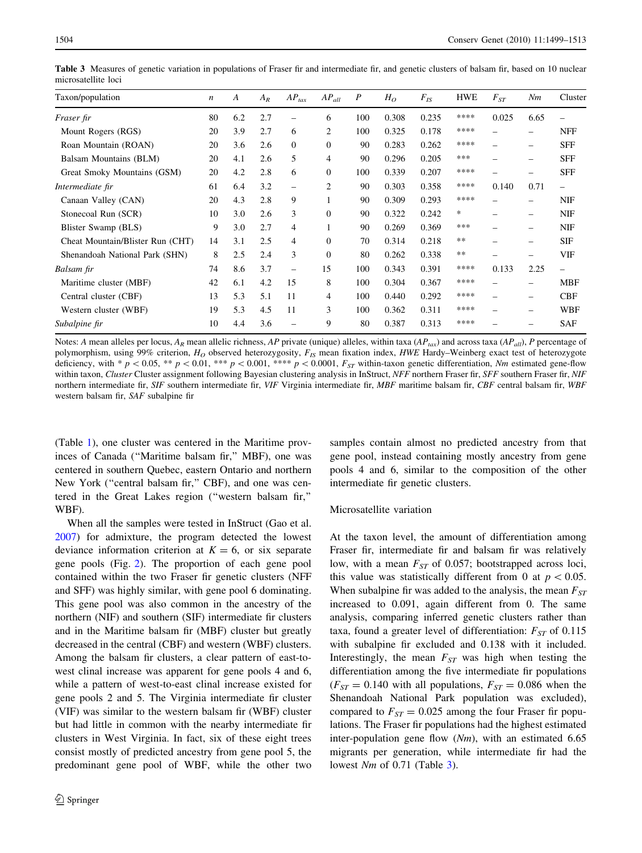| Taxon/population                 | n  | A   | $A_R$ | $AP_{tax}$               | $AP_{all}$     | $\boldsymbol{P}$ | $H_O$ | $F_{IS}$ | <b>HWE</b> | $F_{ST}$                 | Nm                       | Cluster                  |
|----------------------------------|----|-----|-------|--------------------------|----------------|------------------|-------|----------|------------|--------------------------|--------------------------|--------------------------|
| Fraser fir                       | 80 | 6.2 | 2.7   |                          | 6              | 100              | 0.308 | 0.235    | ****       | 0.025                    | 6.65                     |                          |
| Mount Rogers (RGS)               | 20 | 3.9 | 2.7   | 6                        | 2              | 100              | 0.325 | 0.178    | ****       |                          | -                        | <b>NFF</b>               |
| Roan Mountain (ROAN)             | 20 | 3.6 | 2.6   | $\Omega$                 | $\overline{0}$ | 90               | 0.283 | 0.262    | ****       | $\overline{\phantom{0}}$ | $\qquad \qquad$          | <b>SFF</b>               |
| Balsam Mountains (BLM)           | 20 | 4.1 | 2.6   | 5                        | 4              | 90               | 0.296 | 0.205    | ***        |                          | $\overline{\phantom{0}}$ | <b>SFF</b>               |
| Great Smoky Mountains (GSM)      | 20 | 4.2 | 2.8   | 6                        | $\overline{0}$ | 100              | 0.339 | 0.207    | ****       |                          | $\overline{\phantom{0}}$ | <b>SFF</b>               |
| Intermediate fir                 | 61 | 6.4 | 3.2   | $\qquad \qquad$          | 2              | 90               | 0.303 | 0.358    | ****       | 0.140                    | 0.71                     | $\overline{\phantom{0}}$ |
| Canaan Valley (CAN)              | 20 | 4.3 | 2.8   | 9                        | $\mathbf{1}$   | 90               | 0.309 | 0.293    | ****       |                          |                          | <b>NIF</b>               |
| Stonecoal Run (SCR)              | 10 | 3.0 | 2.6   | 3                        | $\mathbf{0}$   | 90               | 0.322 | 0.242    | *          |                          | $\qquad \qquad$          | <b>NIF</b>               |
| Blister Swamp (BLS)              | 9  | 3.0 | 2.7   | 4                        | $\mathbf{1}$   | 90               | 0.269 | 0.369    | ***        |                          | $\overline{\phantom{0}}$ | <b>NIF</b>               |
| Cheat Mountain/Blister Run (CHT) | 14 | 3.1 | 2.5   | 4                        | $\overline{0}$ | 70               | 0.314 | 0.218    | $**$       |                          | -                        | <b>SIF</b>               |
| Shenandoah National Park (SHN)   | 8  | 2.5 | 2.4   | 3                        | $\mathbf{0}$   | 80               | 0.262 | 0.338    | $**$       |                          |                          | <b>VIF</b>               |
| Balsam fir                       | 74 | 8.6 | 3.7   | $\overline{\phantom{0}}$ | 15             | 100              | 0.343 | 0.391    | ****       | 0.133                    | 2.25                     | $\overline{\phantom{0}}$ |
| Maritime cluster (MBF)           | 42 | 6.1 | 4.2   | 15                       | 8              | 100              | 0.304 | 0.367    | ****       |                          |                          | <b>MBF</b>               |
| Central cluster (CBF)            | 13 | 5.3 | 5.1   | 11                       | 4              | 100              | 0.440 | 0.292    | ****       |                          |                          | <b>CBF</b>               |
| Western cluster (WBF)            | 19 | 5.3 | 4.5   | 11                       | 3              | 100              | 0.362 | 0.311    | ****       |                          | -                        | <b>WBF</b>               |
| Subalpine fir                    | 10 | 4.4 | 3.6   |                          | 9              | 80               | 0.387 | 0.313    | ****       |                          |                          | SAF                      |
|                                  |    |     |       |                          |                |                  |       |          |            |                          |                          |                          |

<span id="page-5-0"></span>Table 3 Measures of genetic variation in populations of Fraser fir and intermediate fir, and genetic clusters of balsam fir, based on 10 nuclear microsatellite loci

Notes: A mean alleles per locus, A<sub>R</sub> mean allelic richness, AP private (unique) alleles, within taxa (AP<sub>tax</sub>) and across taxa (AP<sub>al</sub>l), P percentage of polymorphism, using 99% criterion,  $H_O$  observed heterozygosity,  $F_{IS}$  mean fixation index,  $HWE$  Hardy–Weinberg exact test of heterozygote deficiency, with \*  $p < 0.05$ , \*\*  $p < 0.01$ , \*\*\*  $p < 0.001$ , \*\*\*  $p < 0.0001$ ,  $F_{ST}$  within-taxon genetic differentiation, Nm estimated gene-flow within taxon, Cluster Cluster assignment following Bayesian clustering analysis in InStruct, NFF northern Fraser fir, SFF southern Fraser fir, NIF northern intermediate fir, SIF southern intermediate fir, VIF Virginia intermediate fir, MBF maritime balsam fir, CBF central balsam fir, WBF western balsam fir, SAF subalpine fir

(Table [1](#page-2-0)), one cluster was centered in the Maritime provinces of Canada (''Maritime balsam fir,'' MBF), one was centered in southern Quebec, eastern Ontario and northern New York ("central balsam fir," CBF), and one was centered in the Great Lakes region (''western balsam fir,'' WBF).

When all the samples were tested in InStruct (Gao et al. [2007\)](#page-13-0) for admixture, the program detected the lowest deviance information criterion at  $K = 6$ , or six separate gene pools (Fig. [2\)](#page-6-0). The proportion of each gene pool contained within the two Fraser fir genetic clusters (NFF and SFF) was highly similar, with gene pool 6 dominating. This gene pool was also common in the ancestry of the northern (NIF) and southern (SIF) intermediate fir clusters and in the Maritime balsam fir (MBF) cluster but greatly decreased in the central (CBF) and western (WBF) clusters. Among the balsam fir clusters, a clear pattern of east-towest clinal increase was apparent for gene pools 4 and 6, while a pattern of west-to-east clinal increase existed for gene pools 2 and 5. The Virginia intermediate fir cluster (VIF) was similar to the western balsam fir (WBF) cluster but had little in common with the nearby intermediate fir clusters in West Virginia. In fact, six of these eight trees consist mostly of predicted ancestry from gene pool 5, the predominant gene pool of WBF, while the other two samples contain almost no predicted ancestry from that gene pool, instead containing mostly ancestry from gene pools 4 and 6, similar to the composition of the other intermediate fir genetic clusters.

# Microsatellite variation

At the taxon level, the amount of differentiation among Fraser fir, intermediate fir and balsam fir was relatively low, with a mean  $F_{ST}$  of 0.057; bootstrapped across loci, this value was statistically different from 0 at  $p < 0.05$ . When subalpine fir was added to the analysis, the mean  $F_{ST}$ increased to 0.091, again different from 0. The same analysis, comparing inferred genetic clusters rather than taxa, found a greater level of differentiation:  $F_{ST}$  of 0.115 with subalpine fir excluded and 0.138 with it included. Interestingly, the mean  $F_{ST}$  was high when testing the differentiation among the five intermediate fir populations  $(F_{ST} = 0.140$  with all populations,  $F_{ST} = 0.086$  when the Shenandoah National Park population was excluded), compared to  $F_{ST} = 0.025$  among the four Fraser fir populations. The Fraser fir populations had the highest estimated inter-population gene flow  $(Nm)$ , with an estimated 6.65 migrants per generation, while intermediate fir had the lowest Nm of 0.71 (Table 3).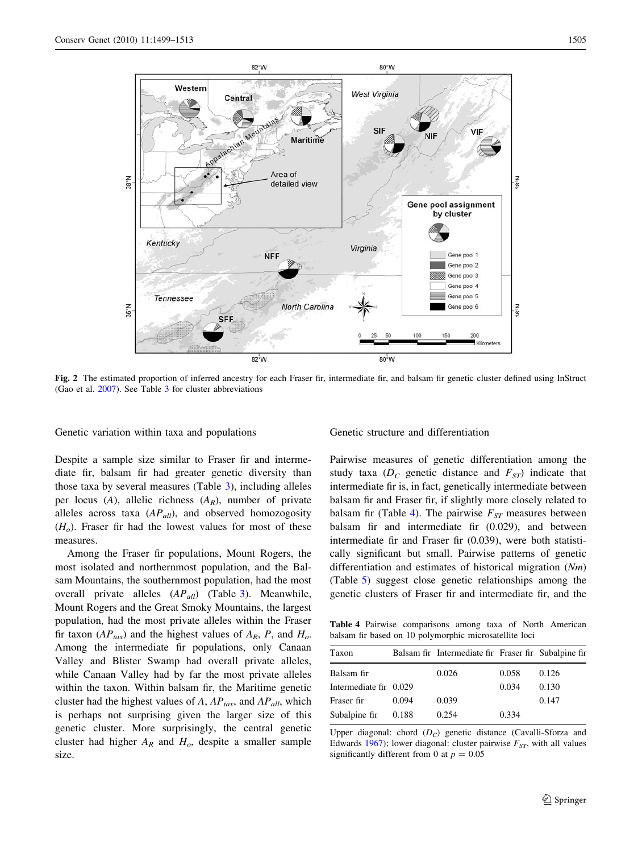<span id="page-6-0"></span>

Fig. 2 The estimated proportion of inferred ancestry for each Fraser fir, intermediate fir, and balsam fir genetic cluster defined using InStruct (Gao et al. [2007\)](#page-13-0). See Table [3](#page-5-0) for cluster abbreviations

Genetic variation within taxa and populations

Genetic structure and differentiation

Despite a sample size similar to Fraser fir and intermediate fir, balsam fir had greater genetic diversity than those taxa by several measures (Table [3\)](#page-5-0), including alleles per locus  $(A)$ , allelic richness  $(A_R)$ , number of private alleles across taxa  $AP_{all}$ , and observed homozogosity  $(H<sub>o</sub>)$ . Fraser fir had the lowest values for most of these measures.

Among the Fraser fir populations, Mount Rogers, the most isolated and northernmost population, and the Balsam Mountains, the southernmost population, had the most overall private alleles  $(AP_{all})$  (Table [3](#page-5-0)). Meanwhile, Mount Rogers and the Great Smoky Mountains, the largest population, had the most private alleles within the Fraser fir taxon ( $AP_{tax}$ ) and the highest values of  $A_R$ , P, and  $H_o$ . Among the intermediate fir populations, only Canaan Valley and Blister Swamp had overall private alleles, while Canaan Valley had by far the most private alleles within the taxon. Within balsam fir, the Maritime genetic cluster had the highest values of A,  $AP_{tax}$ , and  $AP_{all}$ , which is perhaps not surprising given the larger size of this genetic cluster. More surprisingly, the central genetic cluster had higher  $A_R$  and  $H_o$ , despite a smaller sample size.

Pairwise measures of genetic differentiation among the study taxa ( $D_C$  genetic distance and  $F_{ST}$ ) indicate that intermediate fir is, in fact, genetically intermediate between balsam fir and Fraser fir, if slightly more closely related to balsam fir (Table 4). The pairwise  $F_{ST}$  measures between balsam fir and intermediate fir (0.029), and between intermediate fir and Fraser fir (0.039), were both statistically significant but small. Pairwise patterns of genetic differentiation and estimates of historical migration (Nm) (Table [5\)](#page-7-0) suggest close genetic relationships among the genetic clusters of Fraser fir and intermediate fir, and the

Table 4 Pairwise comparisons among taxa of North American balsam fir based on 10 polymorphic microsatellite loci

| Taxon                  |       | Balsam fir Intermediate fir Fraser fir Subalpine fir |       |       |
|------------------------|-------|------------------------------------------------------|-------|-------|
| Balsam fir             |       | 0.026                                                | 0.058 | 0.126 |
| Intermediate fir 0.029 |       |                                                      | 0.034 | 0.130 |
| Fraser fir             | 0.094 | 0.039                                                |       | 0.147 |
| Subalpine fir          | 0.188 | 0.254                                                | 0.334 |       |

Upper diagonal: chord  $(D_C)$  genetic distance (Cavalli-Sforza and Edwards [1967](#page-12-0)); lower diagonal: cluster pairwise  $F_{ST}$ , with all values significantly different from 0 at  $p = 0.05$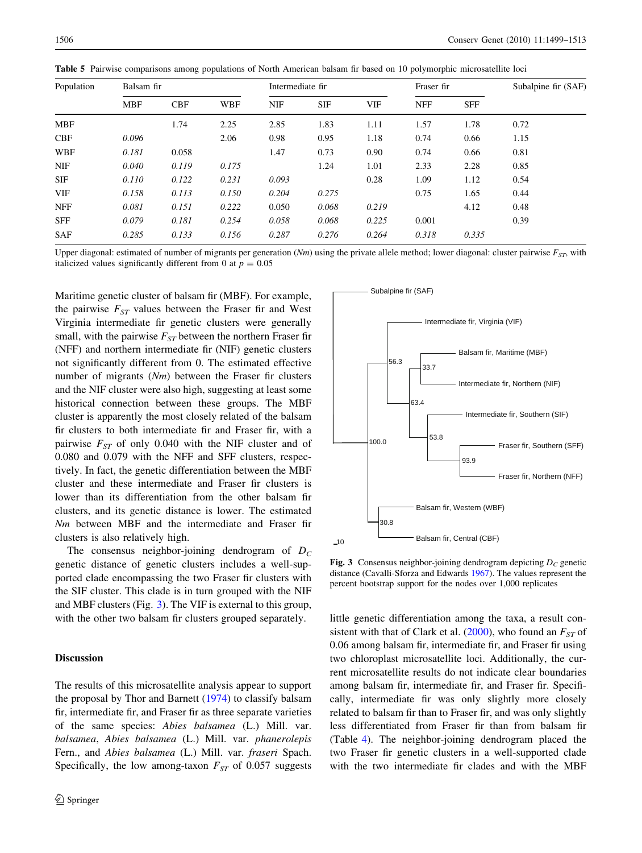| Population | Balsam fir |            |       | Intermediate fir |            |            | Fraser fir |            | Subalpine fir (SAF) |  |
|------------|------------|------------|-------|------------------|------------|------------|------------|------------|---------------------|--|
|            | <b>MBF</b> | <b>CBF</b> | WBF   | <b>NIF</b>       | <b>SIF</b> | <b>VIF</b> | <b>NFF</b> | <b>SFF</b> |                     |  |
| <b>MBF</b> |            | 1.74       | 2.25  | 2.85             | 1.83       | 1.11       | 1.57       | 1.78       | 0.72                |  |
| <b>CBF</b> | 0.096      |            | 2.06  | 0.98             | 0.95       | 1.18       | 0.74       | 0.66       | 1.15                |  |
| <b>WBF</b> | 0.181      | 0.058      |       | 1.47             | 0.73       | 0.90       | 0.74       | 0.66       | 0.81                |  |
| <b>NIF</b> | 0.040      | 0.119      | 0.175 |                  | 1.24       | 1.01       | 2.33       | 2.28       | 0.85                |  |
| <b>SIF</b> | 0.110      | 0.122      | 0.231 | 0.093            |            | 0.28       | 1.09       | 1.12       | 0.54                |  |
| <b>VIF</b> | 0.158      | 0.113      | 0.150 | 0.204            | 0.275      |            | 0.75       | 1.65       | 0.44                |  |
| <b>NFF</b> | 0.081      | 0.151      | 0.222 | 0.050            | 0.068      | 0.219      |            | 4.12       | 0.48                |  |
| <b>SFF</b> | 0.079      | 0.181      | 0.254 | 0.058            | 0.068      | 0.225      | 0.001      |            | 0.39                |  |
| <b>SAF</b> | 0.285      | 0.133      | 0.156 | 0.287            | 0.276      | 0.264      | 0.318      | 0.335      |                     |  |

<span id="page-7-0"></span>Table 5 Pairwise comparisons among populations of North American balsam fir based on 10 polymorphic microsatellite loci

Upper diagonal: estimated of number of migrants per generation  $(Nm)$  using the private allele method; lower diagonal: cluster pairwise  $F_{ST}$ , with italicized values significantly different from 0 at  $p = 0.05$ 

Maritime genetic cluster of balsam fir (MBF). For example, the pairwise  $F_{ST}$  values between the Fraser fir and West Virginia intermediate fir genetic clusters were generally small, with the pairwise  $F_{ST}$  between the northern Fraser fir (NFF) and northern intermediate fir (NIF) genetic clusters not significantly different from 0. The estimated effective number of migrants  $(Nm)$  between the Fraser fir clusters and the NIF cluster were also high, suggesting at least some historical connection between these groups. The MBF cluster is apparently the most closely related of the balsam fir clusters to both intermediate fir and Fraser fir, with a pairwise  $F_{ST}$  of only 0.040 with the NIF cluster and of 0.080 and 0.079 with the NFF and SFF clusters, respectively. In fact, the genetic differentiation between the MBF cluster and these intermediate and Fraser fir clusters is lower than its differentiation from the other balsam fir clusters, and its genetic distance is lower. The estimated Nm between MBF and the intermediate and Fraser fir clusters is also relatively high.

The consensus neighbor-joining dendrogram of  $D<sub>C</sub>$ genetic distance of genetic clusters includes a well-supported clade encompassing the two Fraser fir clusters with the SIF cluster. This clade is in turn grouped with the NIF and MBF clusters (Fig. 3). The VIF is external to this group, with the other two balsam fir clusters grouped separately.

## Discussion

The results of this microsatellite analysis appear to support the proposal by Thor and Barnett ([1974\)](#page-14-0) to classify balsam fir, intermediate fir, and Fraser fir as three separate varieties of the same species: Abies balsamea (L.) Mill. var. balsamea, Abies balsamea (L.) Mill. var. phanerolepis Fern., and Abies balsamea (L.) Mill. var. fraseri Spach. Specifically, the low among-taxon  $F_{ST}$  of 0.057 suggests



Fig. 3 Consensus neighbor-joining dendrogram depicting  $D<sub>C</sub>$  genetic distance (Cavalli-Sforza and Edwards [1967](#page-12-0)). The values represent the percent bootstrap support for the nodes over 1,000 replicates

little genetic differentiation among the taxa, a result con-sistent with that of Clark et al. [\(2000](#page-12-0)), who found an  $F_{ST}$  of 0.06 among balsam fir, intermediate fir, and Fraser fir using two chloroplast microsatellite loci. Additionally, the current microsatellite results do not indicate clear boundaries among balsam fir, intermediate fir, and Fraser fir. Specifically, intermediate fir was only slightly more closely related to balsam fir than to Fraser fir, and was only slightly less differentiated from Fraser fir than from balsam fir (Table [4\)](#page-6-0). The neighbor-joining dendrogram placed the two Fraser fir genetic clusters in a well-supported clade with the two intermediate fir clades and with the MBF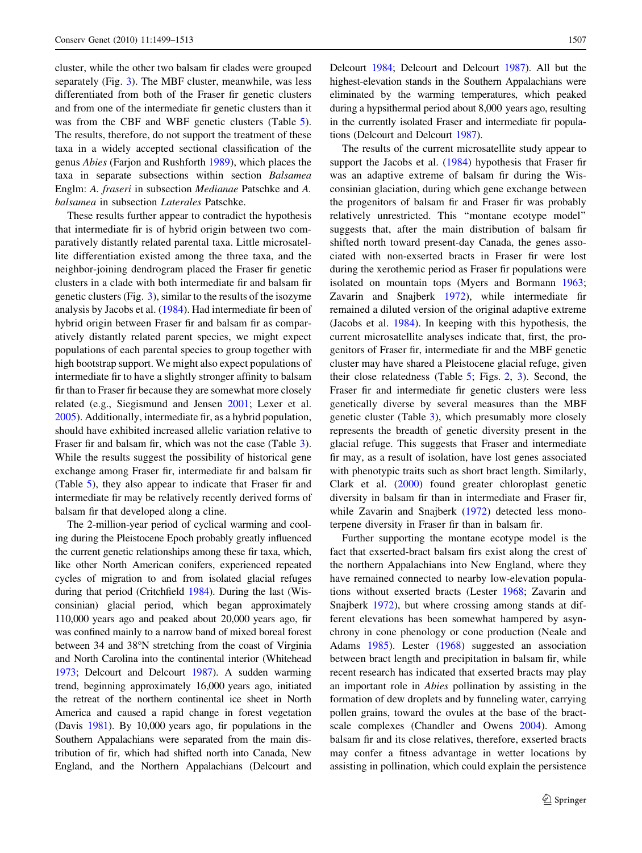cluster, while the other two balsam fir clades were grouped separately (Fig. [3](#page-7-0)). The MBF cluster, meanwhile, was less differentiated from both of the Fraser fir genetic clusters and from one of the intermediate fir genetic clusters than it was from the CBF and WBF genetic clusters (Table [5](#page-7-0)). The results, therefore, do not support the treatment of these taxa in a widely accepted sectional classification of the genus Abies (Farjon and Rushforth [1989\)](#page-13-0), which places the taxa in separate subsections within section Balsamea Englm: A. fraseri in subsection Medianae Patschke and A. balsamea in subsection Laterales Patschke.

These results further appear to contradict the hypothesis that intermediate fir is of hybrid origin between two comparatively distantly related parental taxa. Little microsatellite differentiation existed among the three taxa, and the neighbor-joining dendrogram placed the Fraser fir genetic clusters in a clade with both intermediate fir and balsam fir genetic clusters (Fig. [3\)](#page-7-0), similar to the results of the isozyme analysis by Jacobs et al. [\(1984](#page-13-0)). Had intermediate fir been of hybrid origin between Fraser fir and balsam fir as comparatively distantly related parent species, we might expect populations of each parental species to group together with high bootstrap support. We might also expect populations of intermediate fir to have a slightly stronger affinity to balsam fir than to Fraser fir because they are somewhat more closely related (e.g., Siegismund and Jensen [2001](#page-14-0); Lexer et al. [2005\)](#page-13-0). Additionally, intermediate fir, as a hybrid population, should have exhibited increased allelic variation relative to Fraser fir and balsam fir, which was not the case (Table [3](#page-5-0)). While the results suggest the possibility of historical gene exchange among Fraser fir, intermediate fir and balsam fir (Table [5](#page-7-0)), they also appear to indicate that Fraser fir and intermediate fir may be relatively recently derived forms of balsam fir that developed along a cline.

The 2-million-year period of cyclical warming and cooling during the Pleistocene Epoch probably greatly influenced the current genetic relationships among these fir taxa, which, like other North American conifers, experienced repeated cycles of migration to and from isolated glacial refuges during that period (Critchfield [1984](#page-12-0)). During the last (Wisconsinian) glacial period, which began approximately 110,000 years ago and peaked about 20,000 years ago, fir was confined mainly to a narrow band of mixed boreal forest between 34 and 38°N stretching from the coast of Virginia and North Carolina into the continental interior (Whitehead [1973](#page-14-0); Delcourt and Delcourt [1987](#page-13-0)). A sudden warming trend, beginning approximately 16,000 years ago, initiated the retreat of the northern continental ice sheet in North America and caused a rapid change in forest vegetation (Davis [1981\)](#page-12-0). By 10,000 years ago, fir populations in the Southern Appalachians were separated from the main distribution of fir, which had shifted north into Canada, New England, and the Northern Appalachians (Delcourt and Delcourt [1984](#page-13-0); Delcourt and Delcourt [1987](#page-13-0)). All but the highest-elevation stands in the Southern Appalachians were eliminated by the warming temperatures, which peaked during a hypsithermal period about 8,000 years ago, resulting in the currently isolated Fraser and intermediate fir populations (Delcourt and Delcourt [1987](#page-13-0)).

The results of the current microsatellite study appear to support the Jacobs et al. [\(1984](#page-13-0)) hypothesis that Fraser fir was an adaptive extreme of balsam fir during the Wisconsinian glaciation, during which gene exchange between the progenitors of balsam fir and Fraser fir was probably relatively unrestricted. This ''montane ecotype model'' suggests that, after the main distribution of balsam fir shifted north toward present-day Canada, the genes associated with non-exserted bracts in Fraser fir were lost during the xerothemic period as Fraser fir populations were isolated on mountain tops (Myers and Bormann [1963](#page-13-0); Zavarin and Snajberk [1972](#page-14-0)), while intermediate fir remained a diluted version of the original adaptive extreme (Jacobs et al. [1984\)](#page-13-0). In keeping with this hypothesis, the current microsatellite analyses indicate that, first, the progenitors of Fraser fir, intermediate fir and the MBF genetic cluster may have shared a Pleistocene glacial refuge, given their close relatedness (Table [5;](#page-7-0) Figs. [2](#page-6-0), [3](#page-7-0)). Second, the Fraser fir and intermediate fir genetic clusters were less genetically diverse by several measures than the MBF genetic cluster (Table [3\)](#page-5-0), which presumably more closely represents the breadth of genetic diversity present in the glacial refuge. This suggests that Fraser and intermediate fir may, as a result of isolation, have lost genes associated with phenotypic traits such as short bract length. Similarly, Clark et al. [\(2000](#page-12-0)) found greater chloroplast genetic diversity in balsam fir than in intermediate and Fraser fir, while Zavarin and Snajberk [\(1972](#page-14-0)) detected less monoterpene diversity in Fraser fir than in balsam fir.

Further supporting the montane ecotype model is the fact that exserted-bract balsam firs exist along the crest of the northern Appalachians into New England, where they have remained connected to nearby low-elevation populations without exserted bracts (Lester [1968](#page-13-0); Zavarin and Snajberk [1972\)](#page-14-0), but where crossing among stands at different elevations has been somewhat hampered by asynchrony in cone phenology or cone production (Neale and Adams [1985\)](#page-13-0). Lester [\(1968](#page-13-0)) suggested an association between bract length and precipitation in balsam fir, while recent research has indicated that exserted bracts may play an important role in Abies pollination by assisting in the formation of dew droplets and by funneling water, carrying pollen grains, toward the ovules at the base of the bractscale complexes (Chandler and Owens [2004](#page-12-0)). Among balsam fir and its close relatives, therefore, exserted bracts may confer a fitness advantage in wetter locations by assisting in pollination, which could explain the persistence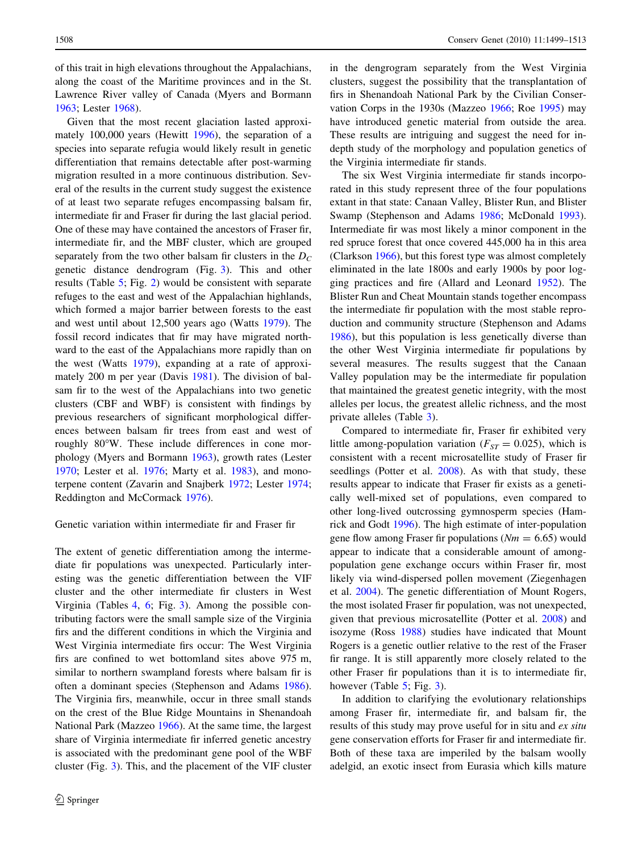of this trait in high elevations throughout the Appalachians, along the coast of the Maritime provinces and in the St. Lawrence River valley of Canada (Myers and Bormann [1963;](#page-13-0) Lester [1968](#page-13-0)).

Given that the most recent glaciation lasted approximately 100,000 years (Hewitt [1996](#page-13-0)), the separation of a species into separate refugia would likely result in genetic differentiation that remains detectable after post-warming migration resulted in a more continuous distribution. Several of the results in the current study suggest the existence of at least two separate refuges encompassing balsam fir, intermediate fir and Fraser fir during the last glacial period. One of these may have contained the ancestors of Fraser fir, intermediate fir, and the MBF cluster, which are grouped separately from the two other balsam fir clusters in the  $D<sub>C</sub>$ genetic distance dendrogram (Fig. [3\)](#page-7-0). This and other results (Table [5;](#page-7-0) Fig. [2\)](#page-6-0) would be consistent with separate refuges to the east and west of the Appalachian highlands, which formed a major barrier between forests to the east and west until about 12,500 years ago (Watts [1979\)](#page-14-0). The fossil record indicates that fir may have migrated northward to the east of the Appalachians more rapidly than on the west (Watts [1979](#page-14-0)), expanding at a rate of approximately 200 m per year (Davis [1981](#page-12-0)). The division of balsam fir to the west of the Appalachians into two genetic clusters (CBF and WBF) is consistent with findings by previous researchers of significant morphological differences between balsam fir trees from east and west of roughly 80°W. These include differences in cone morphology (Myers and Bormann [1963\)](#page-13-0), growth rates (Lester [1970;](#page-13-0) Lester et al. [1976;](#page-13-0) Marty et al. [1983](#page-13-0)), and monoterpene content (Zavarin and Snajberk [1972;](#page-14-0) Lester [1974](#page-13-0); Reddington and McCormack [1976](#page-13-0)).

# Genetic variation within intermediate fir and Fraser fir

The extent of genetic differentiation among the intermediate fir populations was unexpected. Particularly interesting was the genetic differentiation between the VIF cluster and the other intermediate fir clusters in West Virginia (Tables [4,](#page-6-0) [6;](#page-10-0) Fig. [3](#page-7-0)). Among the possible contributing factors were the small sample size of the Virginia firs and the different conditions in which the Virginia and West Virginia intermediate firs occur: The West Virginia firs are confined to wet bottomland sites above 975 m, similar to northern swampland forests where balsam fir is often a dominant species (Stephenson and Adams [1986](#page-14-0)). The Virginia firs, meanwhile, occur in three small stands on the crest of the Blue Ridge Mountains in Shenandoah National Park (Mazzeo [1966](#page-13-0)). At the same time, the largest share of Virginia intermediate fir inferred genetic ancestry is associated with the predominant gene pool of the WBF cluster (Fig. [3](#page-7-0)). This, and the placement of the VIF cluster in the dengrogram separately from the West Virginia clusters, suggest the possibility that the transplantation of firs in Shenandoah National Park by the Civilian Conservation Corps in the 1930s (Mazzeo [1966](#page-13-0); Roe [1995](#page-13-0)) may have introduced genetic material from outside the area. These results are intriguing and suggest the need for indepth study of the morphology and population genetics of the Virginia intermediate fir stands.

The six West Virginia intermediate fir stands incorporated in this study represent three of the four populations extant in that state: Canaan Valley, Blister Run, and Blister Swamp (Stephenson and Adams [1986;](#page-14-0) McDonald [1993](#page-13-0)). Intermediate fir was most likely a minor component in the red spruce forest that once covered 445,000 ha in this area (Clarkson [1966\)](#page-12-0), but this forest type was almost completely eliminated in the late 1800s and early 1900s by poor logging practices and fire (Allard and Leonard [1952](#page-12-0)). The Blister Run and Cheat Mountain stands together encompass the intermediate fir population with the most stable reproduction and community structure (Stephenson and Adams [1986](#page-14-0)), but this population is less genetically diverse than the other West Virginia intermediate fir populations by several measures. The results suggest that the Canaan Valley population may be the intermediate fir population that maintained the greatest genetic integrity, with the most alleles per locus, the greatest allelic richness, and the most private alleles (Table [3\)](#page-5-0).

Compared to intermediate fir, Fraser fir exhibited very little among-population variation ( $F_{ST} = 0.025$ ), which is consistent with a recent microsatellite study of Fraser fir seedlings (Potter et al. [2008](#page-13-0)). As with that study, these results appear to indicate that Fraser fir exists as a genetically well-mixed set of populations, even compared to other long-lived outcrossing gymnosperm species (Hamrick and Godt [1996\)](#page-13-0). The high estimate of inter-population gene flow among Fraser fir populations ( $Nm = 6.65$ ) would appear to indicate that a considerable amount of amongpopulation gene exchange occurs within Fraser fir, most likely via wind-dispersed pollen movement (Ziegenhagen et al. [2004](#page-14-0)). The genetic differentiation of Mount Rogers, the most isolated Fraser fir population, was not unexpected, given that previous microsatellite (Potter et al. [2008\)](#page-13-0) and isozyme (Ross [1988\)](#page-14-0) studies have indicated that Mount Rogers is a genetic outlier relative to the rest of the Fraser fir range. It is still apparently more closely related to the other Fraser fir populations than it is to intermediate fir, however (Table [5](#page-7-0); Fig. [3\)](#page-7-0).

In addition to clarifying the evolutionary relationships among Fraser fir, intermediate fir, and balsam fir, the results of this study may prove useful for in situ and ex situ gene conservation efforts for Fraser fir and intermediate fir. Both of these taxa are imperiled by the balsam woolly adelgid, an exotic insect from Eurasia which kills mature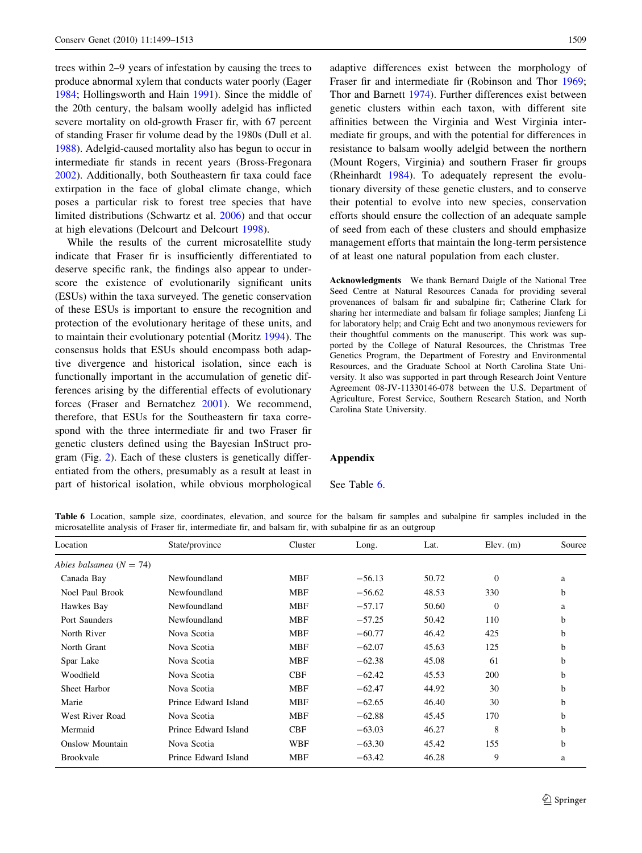<span id="page-10-0"></span>trees within 2–9 years of infestation by causing the trees to produce abnormal xylem that conducts water poorly (Eager [1984;](#page-13-0) Hollingsworth and Hain [1991\)](#page-13-0). Since the middle of the 20th century, the balsam woolly adelgid has inflicted severe mortality on old-growth Fraser fir, with 67 percent of standing Fraser fir volume dead by the 1980s (Dull et al. [1988\)](#page-13-0). Adelgid-caused mortality also has begun to occur in intermediate fir stands in recent years (Bross-Fregonara [2002\)](#page-12-0). Additionally, both Southeastern fir taxa could face extirpation in the face of global climate change, which poses a particular risk to forest tree species that have limited distributions (Schwartz et al. [2006\)](#page-14-0) and that occur at high elevations (Delcourt and Delcourt [1998](#page-13-0)).

While the results of the current microsatellite study indicate that Fraser fir is insufficiently differentiated to deserve specific rank, the findings also appear to underscore the existence of evolutionarily significant units (ESUs) within the taxa surveyed. The genetic conservation of these ESUs is important to ensure the recognition and protection of the evolutionary heritage of these units, and to maintain their evolutionary potential (Moritz [1994\)](#page-13-0). The consensus holds that ESUs should encompass both adaptive divergence and historical isolation, since each is functionally important in the accumulation of genetic differences arising by the differential effects of evolutionary forces (Fraser and Bernatchez [2001](#page-13-0)). We recommend, therefore, that ESUs for the Southeastern fir taxa correspond with the three intermediate fir and two Fraser fir genetic clusters defined using the Bayesian InStruct program (Fig. [2\)](#page-6-0). Each of these clusters is genetically differentiated from the others, presumably as a result at least in part of historical isolation, while obvious morphological

adaptive differences exist between the morphology of Fraser fir and intermediate fir (Robinson and Thor [1969](#page-13-0); Thor and Barnett [1974](#page-14-0)). Further differences exist between genetic clusters within each taxon, with different site affinities between the Virginia and West Virginia intermediate fir groups, and with the potential for differences in resistance to balsam woolly adelgid between the northern (Mount Rogers, Virginia) and southern Fraser fir groups (Rheinhardt [1984\)](#page-13-0). To adequately represent the evolutionary diversity of these genetic clusters, and to conserve their potential to evolve into new species, conservation efforts should ensure the collection of an adequate sample of seed from each of these clusters and should emphasize management efforts that maintain the long-term persistence of at least one natural population from each cluster.

Acknowledgments We thank Bernard Daigle of the National Tree Seed Centre at Natural Resources Canada for providing several provenances of balsam fir and subalpine fir; Catherine Clark for sharing her intermediate and balsam fir foliage samples; Jianfeng Li for laboratory help; and Craig Echt and two anonymous reviewers for their thoughtful comments on the manuscript. This work was supported by the College of Natural Resources, the Christmas Tree Genetics Program, the Department of Forestry and Environmental Resources, and the Graduate School at North Carolina State University. It also was supported in part through Research Joint Venture Agreement 08-JV-11330146-078 between the U.S. Department of Agriculture, Forest Service, Southern Research Station, and North Carolina State University.

# Appendix

## See Table 6.

Table 6 Location, sample size, coordinates, elevation, and source for the balsam fir samples and subalpine fir samples included in the microsatellite analysis of Fraser fir, intermediate fir, and balsam fir, with subalpine fir as an outgroup

| Location                  | State/province       | Cluster    | Long.    | Lat.  | Elev. $(m)$    | Source |
|---------------------------|----------------------|------------|----------|-------|----------------|--------|
| Abies balsamea $(N = 74)$ |                      |            |          |       |                |        |
| Canada Bay                | Newfoundland         | MBF        | $-56.13$ | 50.72 | $\overline{0}$ | a      |
| Noel Paul Brook           | Newfoundland         | MBF        | $-56.62$ | 48.53 | 330            | b      |
| Hawkes Bay                | Newfoundland         | MBF        | $-57.17$ | 50.60 | $\mathbf{0}$   | a      |
| Port Saunders             | Newfoundland         | MBF        | $-57.25$ | 50.42 | 110            | b      |
| North River               | Nova Scotia          | <b>MBF</b> | $-60.77$ | 46.42 | 425            | b      |
| North Grant               | Nova Scotia          | MBF        | $-62.07$ | 45.63 | 125            | h      |
| Spar Lake                 | Nova Scotia          | MBF        | $-62.38$ | 45.08 | 61             | h      |
| Woodfield                 | Nova Scotia          | <b>CBF</b> | $-62.42$ | 45.53 | 200            | h      |
| Sheet Harbor              | Nova Scotia          | <b>MBF</b> | $-62.47$ | 44.92 | 30             | b      |
| Marie                     | Prince Edward Island | <b>MBF</b> | $-62.65$ | 46.40 | 30             | b      |
| West River Road           | Nova Scotia          | MBF        | $-62.88$ | 45.45 | 170            | h      |
| Mermaid                   | Prince Edward Island | <b>CBF</b> | $-63.03$ | 46.27 | 8              | h      |
| Onslow Mountain           | Nova Scotia          | WBF        | $-63.30$ | 45.42 | 155            | b      |
| <b>Brookvale</b>          | Prince Edward Island | <b>MBF</b> | $-63.42$ | 46.28 | 9              | a      |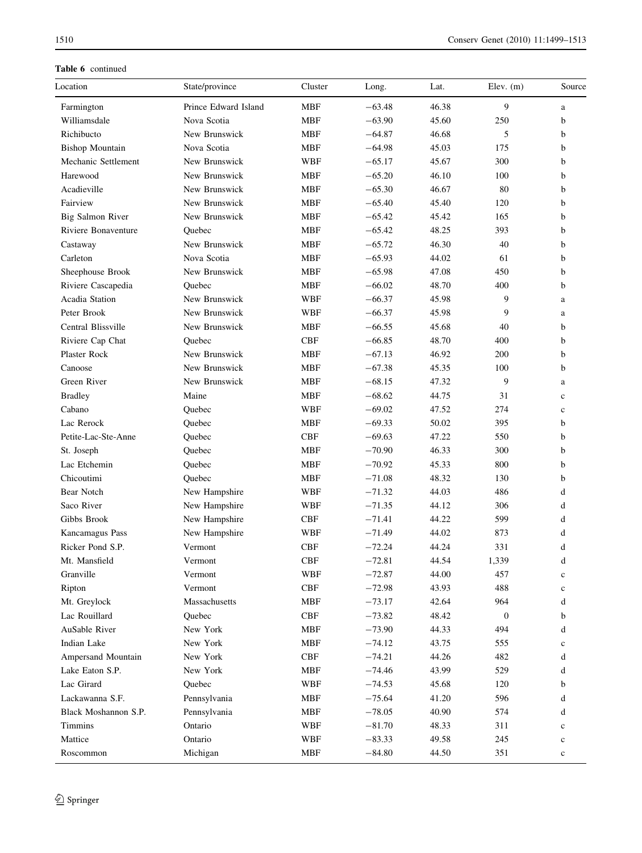# Table 6 continued

| Location               | State/province       | Cluster                       | Long.    | Lat.  | Elev. $(m)$      | Source      |
|------------------------|----------------------|-------------------------------|----------|-------|------------------|-------------|
| Farmington             | Prince Edward Island | <b>MBF</b>                    | $-63.48$ | 46.38 | 9                | $\rm{a}$    |
| Williamsdale           | Nova Scotia          | <b>MBF</b>                    | $-63.90$ | 45.60 | 250              | b           |
| Richibucto             | New Brunswick        | MBF                           | $-64.87$ | 46.68 | 5                | b           |
| <b>Bishop Mountain</b> | Nova Scotia          | <b>MBF</b>                    | $-64.98$ | 45.03 | 175              | $\mathbf b$ |
| Mechanic Settlement    | New Brunswick        | <b>WBF</b>                    | $-65.17$ | 45.67 | 300              | b           |
| Harewood               | New Brunswick        | MBF                           | $-65.20$ | 46.10 | 100              | b           |
| Acadieville            | New Brunswick        | MBF                           | $-65.30$ | 46.67 | 80               | b           |
| Fairview               | New Brunswick        | MBF                           | $-65.40$ | 45.40 | 120              | b           |
| Big Salmon River       | New Brunswick        | MBF                           | $-65.42$ | 45.42 | 165              | b           |
| Riviere Bonaventure    | Quebec               | <b>MBF</b>                    | $-65.42$ | 48.25 | 393              | b           |
| Castaway               | New Brunswick        | <b>MBF</b>                    | $-65.72$ | 46.30 | 40               | b           |
| Carleton               | Nova Scotia          | <b>MBF</b>                    | $-65.93$ | 44.02 | 61               | b           |
| Sheephouse Brook       | New Brunswick        | <b>MBF</b>                    | $-65.98$ | 47.08 | 450              | b           |
| Riviere Cascapedia     | Quebec               | MBF                           | $-66.02$ | 48.70 | 400              | b           |
| Acadia Station         | New Brunswick        | WBF                           | $-66.37$ | 45.98 | 9                | a           |
| Peter Brook            | New Brunswick        | WBF                           | $-66.37$ | 45.98 | 9                | a           |
| Central Blissville     | New Brunswick        | MBF                           | $-66.55$ | 45.68 | 40               | b           |
| Riviere Cap Chat       | Quebec               | <b>CBF</b>                    | $-66.85$ | 48.70 | 400              | b           |
| Plaster Rock           | New Brunswick        | <b>MBF</b>                    | $-67.13$ | 46.92 | 200              | b           |
| Canoose                | New Brunswick        | <b>MBF</b>                    | $-67.38$ | 45.35 | 100              | b           |
| Green River            | New Brunswick        | MBF                           | $-68.15$ | 47.32 | 9                | a           |
| <b>Bradley</b>         | Maine                | MBF                           | $-68.62$ | 44.75 | 31               | $\mathbf c$ |
| Cabano                 | Quebec               | WBF                           | $-69.02$ | 47.52 | 274              | $\mathbf c$ |
| Lac Rerock             | Quebec               | MBF                           | $-69.33$ | 50.02 | 395              | b           |
| Petite-Lac-Ste-Anne    | Quebec               | <b>CBF</b>                    | $-69.63$ | 47.22 | 550              | b           |
| St. Joseph             | Quebec               | <b>MBF</b>                    | $-70.90$ | 46.33 | 300              | b           |
| Lac Etchemin           | Quebec               | <b>MBF</b>                    | $-70.92$ | 45.33 | 800              | b           |
| Chicoutimi             | Quebec               | <b>MBF</b>                    | $-71.08$ | 48.32 | 130              | b           |
| <b>Bear Notch</b>      | New Hampshire        | WBF                           | $-71.32$ | 44.03 | 486              | d           |
| Saco River             | New Hampshire        | WBF                           | $-71.35$ | 44.12 | 306              | d           |
| Gibbs Brook            | New Hampshire        | <b>CBF</b>                    | $-71.41$ | 44.22 | 599              | d           |
| Kancamagus Pass        | New Hampshire        | WBF                           | $-71.49$ | 44.02 | 873              | d           |
| Ricker Pond S.P.       | Vermont              | <b>CBF</b>                    | $-72.24$ | 44.24 | 331              | d           |
| Mt. Mansfield          | Vermont              | <b>CBF</b>                    | $-72.81$ | 44.54 | 1,339            | d           |
| Granville              | Vermont              | WBF                           | $-72.87$ | 44.00 | 457              | $\mathbf c$ |
| Ripton                 | Vermont              | ${\rm CBF}$                   | $-72.98$ | 43.93 | 488              | $\mathbf c$ |
| Mt. Greylock           | Massachusetts        | MBF                           | $-73.17$ | 42.64 | 964              | d           |
| Lac Rouillard          | Quebec               | CBF                           | $-73.82$ | 48.42 | $\boldsymbol{0}$ | b           |
| AuSable River          | New York             | MBF                           | $-73.90$ | 44.33 | 494              | d           |
| Indian Lake            | New York             | MBF                           | $-74.12$ | 43.75 | 555              | $\mathbf c$ |
| Ampersand Mountain     | New York             | ${\rm CBF}$                   | $-74.21$ | 44.26 | 482              | d           |
| Lake Eaton S.P.        | New York             | MBF                           | $-74.46$ | 43.99 | 529              | d           |
| Lac Girard             | Quebec               | WBF                           | $-74.53$ | 45.68 | 120              | b           |
| Lackawanna S.F.        | Pennsylvania         | MBF                           | $-75.64$ | 41.20 | 596              | d           |
| Black Moshannon S.P.   | Pennsylvania         | MBF                           | $-78.05$ | 40.90 | 574              | d           |
| Timmins                | Ontario              | WBF                           | $-81.70$ | 48.33 | 311              | $\mathbf c$ |
| Mattice                | Ontario              | WBF                           | $-83.33$ | 49.58 | 245              | $\mathbf c$ |
| Roscommon              | Michigan             | $\operatorname{\mathsf{MBF}}$ | $-84.80$ | 44.50 | 351              | $\mathbf c$ |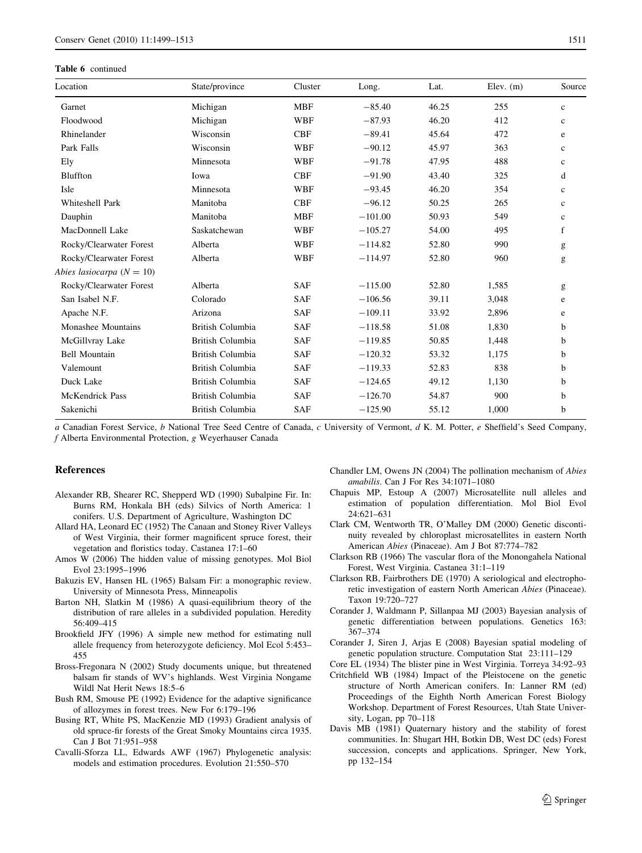## <span id="page-12-0"></span>Table 6 continued

| Location                    | State/province          | Cluster    | Long.     | Lat.  | Elev. $(m)$ | Source       |
|-----------------------------|-------------------------|------------|-----------|-------|-------------|--------------|
| Garnet                      | Michigan                | <b>MBF</b> | $-85.40$  | 46.25 | 255         | $\mathbf{c}$ |
| Floodwood                   | Michigan                | <b>WBF</b> | $-87.93$  | 46.20 | 412         | $\mathbf{c}$ |
| Rhinelander                 | Wisconsin               | <b>CBF</b> | $-89.41$  | 45.64 | 472         | e            |
| Park Falls                  | Wisconsin               | <b>WBF</b> | $-90.12$  | 45.97 | 363         | $\mathbf{c}$ |
| Ely                         | Minnesota               | <b>WBF</b> | $-91.78$  | 47.95 | 488         | $\mathbf c$  |
| Bluffton                    | Iowa                    | <b>CBF</b> | $-91.90$  | 43.40 | 325         | d            |
| Isle                        | Minnesota               | <b>WBF</b> | $-93.45$  | 46.20 | 354         | $\mathbf c$  |
| Whiteshell Park             | Manitoba                | <b>CBF</b> | $-96.12$  | 50.25 | 265         | $\mathbf c$  |
| Dauphin                     | Manitoba                | <b>MBF</b> | $-101.00$ | 50.93 | 549         | $\mathbf c$  |
| MacDonnell Lake             | Saskatchewan            | <b>WBF</b> | $-105.27$ | 54.00 | 495         | $\mathbf f$  |
| Rocky/Clearwater Forest     | Alberta                 | <b>WBF</b> | $-114.82$ | 52.80 | 990         | g            |
| Rocky/Clearwater Forest     | Alberta                 | <b>WBF</b> | $-114.97$ | 52.80 | 960         | g            |
| Abies lasiocarpa $(N = 10)$ |                         |            |           |       |             |              |
| Rocky/Clearwater Forest     | Alberta                 | <b>SAF</b> | $-115.00$ | 52.80 | 1,585       | g            |
| San Isabel N.F.             | Colorado                | <b>SAF</b> | $-106.56$ | 39.11 | 3,048       | e            |
| Apache N.F.                 | Arizona                 | <b>SAF</b> | $-109.11$ | 33.92 | 2,896       | e            |
| Monashee Mountains          | British Columbia        | <b>SAF</b> | $-118.58$ | 51.08 | 1,830       | $\mathbf b$  |
| McGillvray Lake             | British Columbia        | <b>SAF</b> | $-119.85$ | 50.85 | 1,448       | $\mathbf b$  |
| <b>Bell Mountain</b>        | British Columbia        | <b>SAF</b> | $-120.32$ | 53.32 | 1,175       | b            |
| Valemount                   | British Columbia        | <b>SAF</b> | $-119.33$ | 52.83 | 838         | b            |
| Duck Lake                   | <b>British Columbia</b> | <b>SAF</b> | $-124.65$ | 49.12 | 1,130       | b            |
| McKendrick Pass             | British Columbia        | <b>SAF</b> | $-126.70$ | 54.87 | 900         | b            |
| Sakenichi                   | British Columbia        | <b>SAF</b> | $-125.90$ | 55.12 | 1,000       | $\mathbf b$  |

a Canadian Forest Service, b National Tree Seed Centre of Canada, c University of Vermont, d K. M. Potter, e Sheffield's Seed Company, f Alberta Environmental Protection, g Weyerhauser Canada

## References

- Alexander RB, Shearer RC, Shepperd WD (1990) Subalpine Fir. In: Burns RM, Honkala BH (eds) Silvics of North America: 1 conifers. U.S. Department of Agriculture, Washington DC
- Allard HA, Leonard EC (1952) The Canaan and Stoney River Valleys of West Virginia, their former magnificent spruce forest, their vegetation and floristics today. Castanea 17:1–60
- Amos W (2006) The hidden value of missing genotypes. Mol Biol Evol 23:1995–1996
- Bakuzis EV, Hansen HL (1965) Balsam Fir: a monographic review. University of Minnesota Press, Minneapolis
- Barton NH, Slatkin M (1986) A quasi-equilibrium theory of the distribution of rare alleles in a subdivided population. Heredity 56:409–415
- Brookfield JFY (1996) A simple new method for estimating null allele frequency from heterozygote deficiency. Mol Ecol 5:453– 455
- Bross-Fregonara N (2002) Study documents unique, but threatened balsam fir stands of WV's highlands. West Virginia Nongame Wildl Nat Herit News 18:5–6
- Bush RM, Smouse PE (1992) Evidence for the adaptive significance of allozymes in forest trees. New For 6:179–196
- Busing RT, White PS, MacKenzie MD (1993) Gradient analysis of old spruce-fir forests of the Great Smoky Mountains circa 1935. Can J Bot 71:951–958
- Cavalli-Sforza LL, Edwards AWF (1967) Phylogenetic analysis: models and estimation procedures. Evolution 21:550–570
- Chandler LM, Owens JN (2004) The pollination mechanism of Abies amabilis. Can J For Res 34:1071–1080
- Chapuis MP, Estoup A (2007) Microsatellite null alleles and estimation of population differentiation. Mol Biol Evol 24:621–631
- Clark CM, Wentworth TR, O'Malley DM (2000) Genetic discontinuity revealed by chloroplast microsatellites in eastern North American Abies (Pinaceae). Am J Bot 87:774–782
- Clarkson RB (1966) The vascular flora of the Monongahela National Forest, West Virginia. Castanea 31:1–119
- Clarkson RB, Fairbrothers DE (1970) A seriological and electrophoretic investigation of eastern North American Abies (Pinaceae). Taxon 19:720–727
- Corander J, Waldmann P, Sillanpaa MJ (2003) Bayesian analysis of genetic differentiation between populations. Genetics 163: 367–374
- Corander J, Siren J, Arjas E (2008) Bayesian spatial modeling of genetic population structure. Computation Stat 23:111–129
- Core EL (1934) The blister pine in West Virginia. Torreya 34:92–93
- Critchfield WB (1984) Impact of the Pleistocene on the genetic structure of North American conifers. In: Lanner RM (ed) Proceedings of the Eighth North American Forest Biology Workshop. Department of Forest Resources, Utah State University, Logan, pp 70–118
- Davis MB (1981) Quaternary history and the stability of forest communities. In: Shugart HH, Botkin DB, West DC (eds) Forest succession, concepts and applications. Springer, New York, pp 132–154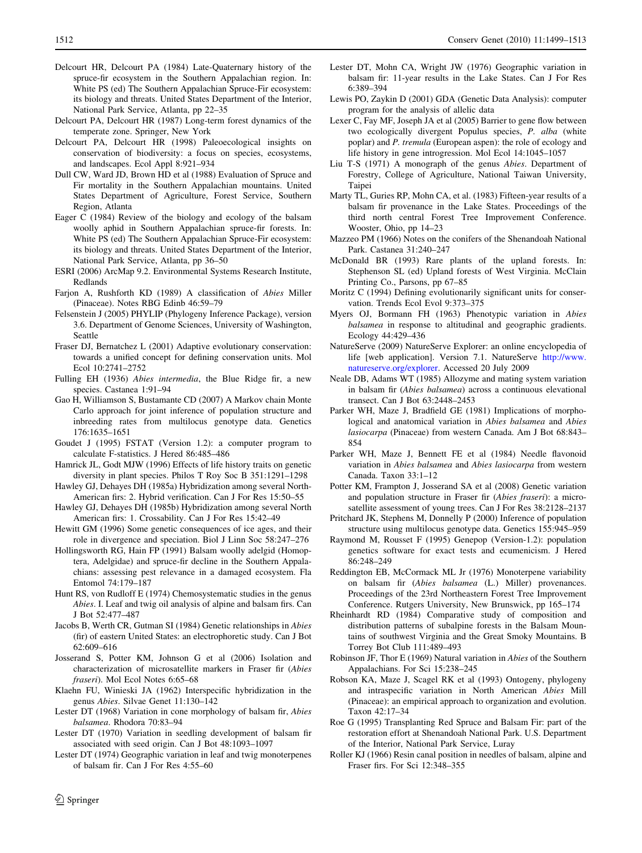- <span id="page-13-0"></span>Delcourt HR, Delcourt PA (1984) Late-Quaternary history of the spruce-fir ecosystem in the Southern Appalachian region. In: White PS (ed) The Southern Appalachian Spruce-Fir ecosystem: its biology and threats. United States Department of the Interior, National Park Service, Atlanta, pp 22–35
- Delcourt PA, Delcourt HR (1987) Long-term forest dynamics of the temperate zone. Springer, New York
- Delcourt PA, Delcourt HR (1998) Paleoecological insights on conservation of biodiversity: a focus on species, ecosystems, and landscapes. Ecol Appl 8:921–934
- Dull CW, Ward JD, Brown HD et al (1988) Evaluation of Spruce and Fir mortality in the Southern Appalachian mountains. United States Department of Agriculture, Forest Service, Southern Region, Atlanta
- Eager C (1984) Review of the biology and ecology of the balsam woolly aphid in Southern Appalachian spruce-fir forests. In: White PS (ed) The Southern Appalachian Spruce-Fir ecosystem: its biology and threats. United States Department of the Interior, National Park Service, Atlanta, pp 36–50
- ESRI (2006) ArcMap 9.2. Environmental Systems Research Institute, Redlands
- Farjon A, Rushforth KD (1989) A classification of Abies Miller (Pinaceae). Notes RBG Edinb 46:59–79
- Felsenstein J (2005) PHYLIP (Phylogeny Inference Package), version 3.6. Department of Genome Sciences, University of Washington, Seattle
- Fraser DJ, Bernatchez L (2001) Adaptive evolutionary conservation: towards a unified concept for defining conservation units. Mol Ecol 10:2741–2752
- Fulling EH (1936) Abies intermedia, the Blue Ridge fir, a new species. Castanea 1:91–94
- Gao H, Williamson S, Bustamante CD (2007) A Markov chain Monte Carlo approach for joint inference of population structure and inbreeding rates from multilocus genotype data. Genetics 176:1635–1651
- Goudet J (1995) FSTAT (Version 1.2): a computer program to calculate F-statistics. J Hered 86:485–486
- Hamrick JL, Godt MJW (1996) Effects of life history traits on genetic diversity in plant species. Philos T Roy Soc B 351:1291–1298
- Hawley GJ, Dehayes DH (1985a) Hybridization among several North-American firs: 2. Hybrid verification. Can J For Res 15:50–55
- Hawley GJ, Dehayes DH (1985b) Hybridization among several North American firs: 1. Crossability. Can J For Res 15:42–49
- Hewitt GM (1996) Some genetic consequences of ice ages, and their role in divergence and speciation. Biol J Linn Soc 58:247–276
- Hollingsworth RG, Hain FP (1991) Balsam woolly adelgid (Homoptera, Adelgidae) and spruce-fir decline in the Southern Appalachians: assessing pest relevance in a damaged ecosystem. Fla Entomol 74:179–187
- Hunt RS, von Rudloff E (1974) Chemosystematic studies in the genus Abies. I. Leaf and twig oil analysis of alpine and balsam firs. Can J Bot 52:477–487
- Jacobs B, Werth CR, Gutman SI (1984) Genetic relationships in Abies (fir) of eastern United States: an electrophoretic study. Can J Bot 62:609–616
- Josserand S, Potter KM, Johnson G et al (2006) Isolation and characterization of microsatellite markers in Fraser fir (Abies fraseri). Mol Ecol Notes 6:65–68
- Klaehn FU, Winieski JA (1962) Interspecific hybridization in the genus Abies. Silvae Genet 11:130–142
- Lester DT (1968) Variation in cone morphology of balsam fir, Abies balsamea. Rhodora 70:83–94
- Lester DT (1970) Variation in seedling development of balsam fir associated with seed origin. Can J Bot 48:1093–1097
- Lester DT (1974) Geographic variation in leaf and twig monoterpenes of balsam fir. Can J For Res 4:55–60
- Lester DT, Mohn CA, Wright JW (1976) Geographic variation in balsam fir: 11-year results in the Lake States. Can J For Res 6:389–394
- Lewis PO, Zaykin D (2001) GDA (Genetic Data Analysis): computer program for the analysis of allelic data
- Lexer C, Fay MF, Joseph JA et al (2005) Barrier to gene flow between two ecologically divergent Populus species, P. alba (white poplar) and P. tremula (European aspen): the role of ecology and life history in gene introgression. Mol Ecol 14:1045–1057
- Liu T-S (1971) A monograph of the genus Abies. Department of Forestry, College of Agriculture, National Taiwan University, Taipei
- Marty TL, Guries RP, Mohn CA, et al. (1983) Fifteen-year results of a balsam fir provenance in the Lake States. Proceedings of the third north central Forest Tree Improvement Conference. Wooster, Ohio, pp 14–23
- Mazzeo PM (1966) Notes on the conifers of the Shenandoah National Park. Castanea 31:240–247
- McDonald BR (1993) Rare plants of the upland forests. In: Stephenson SL (ed) Upland forests of West Virginia. McClain Printing Co., Parsons, pp 67–85
- Moritz C (1994) Defining evolutionarily significant units for conservation. Trends Ecol Evol 9:373–375
- Myers OJ, Bormann FH (1963) Phenotypic variation in Abies balsamea in response to altitudinal and geographic gradients. Ecology 44:429–436
- NatureServe (2009) NatureServe Explorer: an online encyclopedia of life [web application]. Version 7.1. NatureServe [http://www.](http://www.natureserve.org/explorer) [natureserve.org/explorer](http://www.natureserve.org/explorer). Accessed 20 July 2009
- Neale DB, Adams WT (1985) Allozyme and mating system variation in balsam fir (Abies balsamea) across a continuous elevational transect. Can J Bot 63:2448–2453
- Parker WH, Maze J, Bradfield GE (1981) Implications of morphological and anatomical variation in Abies balsamea and Abies lasiocarpa (Pinaceae) from western Canada. Am J Bot 68:843– 854
- Parker WH, Maze J, Bennett FE et al (1984) Needle flavonoid variation in Abies balsamea and Abies lasiocarpa from western Canada. Taxon 33:1–12
- Potter KM, Frampton J, Josserand SA et al (2008) Genetic variation and population structure in Fraser fir (Abies fraseri): a microsatellite assessment of young trees. Can J For Res 38:2128–2137
- Pritchard JK, Stephens M, Donnelly P (2000) Inference of population structure using multilocus genotype data. Genetics 155:945–959
- Raymond M, Rousset F (1995) Genepop (Version-1.2): population genetics software for exact tests and ecumenicism. J Hered 86:248–249
- Reddington EB, McCormack ML Jr (1976) Monoterpene variability on balsam fir (Abies balsamea (L.) Miller) provenances. Proceedings of the 23rd Northeastern Forest Tree Improvement Conference. Rutgers University, New Brunswick, pp 165–174
- Rheinhardt RD (1984) Comparative study of composition and distribution patterns of subalpine forests in the Balsam Mountains of southwest Virginia and the Great Smoky Mountains. B Torrey Bot Club 111:489–493
- Robinson JF, Thor E (1969) Natural variation in Abies of the Southern Appalachians. For Sci 15:238–245
- Robson KA, Maze J, Scagel RK et al (1993) Ontogeny, phylogeny and intraspecific variation in North American Abies Mill (Pinaceae): an empirical approach to organization and evolution. Taxon 42:17–34
- Roe G (1995) Transplanting Red Spruce and Balsam Fir: part of the restoration effort at Shenandoah National Park. U.S. Department of the Interior, National Park Service, Luray
- Roller KJ (1966) Resin canal position in needles of balsam, alpine and Fraser firs. For Sci 12:348–355